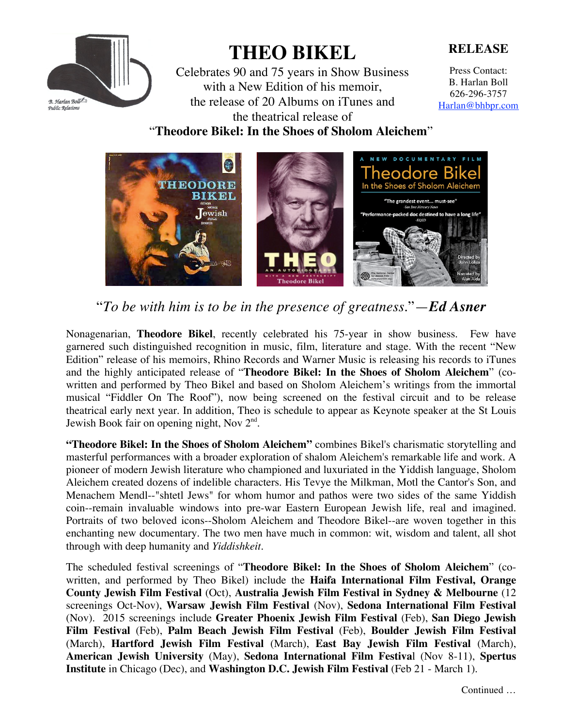

## **THEO BIKEL**

Celebrates 90 and 75 years in Show Business with a New Edition of his memoir, the release of 20 Albums on iTunes and the theatrical release of

**RELEASE**

Press Contact: B. Harlan Boll 626-296-3757 Harlan@bhbpr.com

"**Theodore Bikel: In the Shoes of Sholom Aleichem**"



"*To be with him is to be in the presence of greatness*."—*Ed Asner*

Nonagenarian, **Theodore Bikel**, recently celebrated his 75-year in show business. Few have garnered such distinguished recognition in music, film, literature and stage. With the recent "New Edition" release of his memoirs, Rhino Records and Warner Music is releasing his records to iTunes and the highly anticipated release of "**Theodore Bikel: In the Shoes of Sholom Aleichem**" (cowritten and performed by Theo Bikel and based on Sholom Aleichem's writings from the immortal musical "Fiddler On The Roof"), now being screened on the festival circuit and to be release theatrical early next year. In addition, Theo is schedule to appear as Keynote speaker at the St Louis Jewish Book fair on opening night, Nov 2<sup>nd</sup>.

**"Theodore Bikel: In the Shoes of Sholom Aleichem"** combines Bikel's charismatic storytelling and masterful performances with a broader exploration of shalom Aleichem's remarkable life and work. A pioneer of modern Jewish literature who championed and luxuriated in the Yiddish language, Sholom Aleichem created dozens of indelible characters. His Tevye the Milkman, Motl the Cantor's Son, and Menachem Mendl--"shtetl Jews" for whom humor and pathos were two sides of the same Yiddish coin--remain invaluable windows into pre-war Eastern European Jewish life, real and imagined. Portraits of two beloved icons--Sholom Aleichem and Theodore Bikel--are woven together in this enchanting new documentary. The two men have much in common: wit, wisdom and talent, all shot through with deep humanity and *Yiddishkeit.*

The scheduled festival screenings of "**Theodore Bikel: In the Shoes of Sholom Aleichem**" (cowritten, and performed by Theo Bikel) include the **Haifa International Film Festival, Orange County Jewish Film Festival** (Oct), **Australia Jewish Film Festival in Sydney & Melbourne** (12 screenings Oct-Nov), **Warsaw Jewish Film Festival** (Nov), **Sedona International Film Festival** (Nov). 2015 screenings include **Greater Phoenix Jewish Film Festival** (Feb), **San Diego Jewish Film Festival** (Feb), **Palm Beach Jewish Film Festival** (Feb), **Boulder Jewish Film Festival** (March), **Hartford Jewish Film Festival** (March), **East Bay Jewish Film Festival** (March), **American Jewish University** (May), **Sedona International Film Festiva**l (Nov 8-11), **Spertus Institute** in Chicago (Dec), and **Washington D.C. Jewish Film Festival** (Feb 21 - March 1).